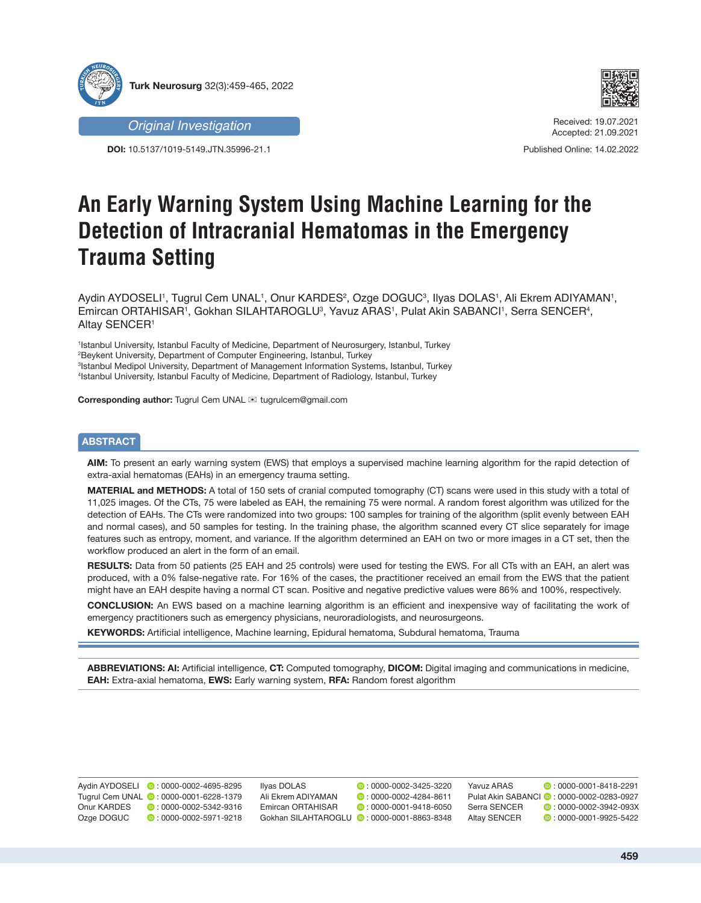



*Original Investigation*

**DOI:** 10.5137/1019-5149.JTN.35996-21.1

Received: 19.07.2021 Accepted: 21.09.2021

Published Online: 14.02.2022

# **An Early Warning System Using Machine Learning for the Detection of Intracranial Hematomas in the Emergency Trauma Setting**

Aydin AYDOSELI', Tugrul Cem UNAL', Onur KARDES<sup>2</sup>, Ozge DOGUC<sup>3</sup>, Ilyas DOLAS', Ali Ekrem ADIYAMAN', Emircan ORTAHISAR1, Gokhan SILAHTAROGLU<sup>3</sup>, Yavuz ARAS1, Pulat Akin SABANCI1, Serra SENCER4, **Altay SENCER1** 

 Istanbul University, Istanbul Faculty of Medicine, Department of Neurosurgery, Istanbul, Turkey Beykent University, Department of Computer Engineering, Istanbul, Turkey Istanbul Medipol University, Department of Management Information Systems, Istanbul, Turkey Istanbul University, Istanbul Faculty of Medicine, Department of Radiology, Istanbul, Turkey

**Corresponding author:** Tugrul Cem UNAL <sup>≥</sup> tugrulcem@gmail.com

# **ABSTRACT**

**AIM:** To present an early warning system (EWS) that employs a supervised machine learning algorithm for the rapid detection of extra-axial hematomas (EAHs) in an emergency trauma setting.

**MATERIAL and METHODS:** A total of 150 sets of cranial computed tomography (CT) scans were used in this study with a total of 11,025 images. Of the CTs, 75 were labeled as EAH, the remaining 75 were normal. A random forest algorithm was utilized for the detection of EAHs. The CTs were randomized into two groups: 100 samples for training of the algorithm (split evenly between EAH and normal cases), and 50 samples for testing. In the training phase, the algorithm scanned every CT slice separately for image features such as entropy, moment, and variance. If the algorithm determined an EAH on two or more images in a CT set, then the workflow produced an alert in the form of an email.

**RESULTS:** Data from 50 patients (25 EAH and 25 controls) were used for testing the EWS. For all CTs with an EAH, an alert was produced, with a 0% false-negative rate. For 16% of the cases, the practitioner received an email from the EWS that the patient might have an EAH despite having a normal CT scan. Positive and negative predictive values were 86% and 100%, respectively.

**CONCLUSION:** An EWS based on a machine learning algorithm is an efficient and inexpensive way of facilitating the work of emergency practitioners such as emergency physicians, neuroradiologists, and neurosurgeons.

**KEYWORDS:** Artificial intelligence, Machine learning, Epidural hematoma, Subdural hematoma, Trauma

**ABBREVIATIONS: AI:** Artificial intelligence, **CT:** Computed tomography, **DICOM:** Digital imaging and communications in medicine, **EAH:** Extra-axial hematoma, **EWS:** Early warning system, **RFA:** Random forest algorithm

Yavuz ARAS **: 0000-0001-8418-2291** Pulat Akin SABANCI **:** 0000-0002-0283-0927 Serra SENCER : 0000-0002-3942-093X  $\bullet$  : 0000-0001-9925-5422 Aydin AYDOSELI **D**: 0000-0002-4695-8295 Tugrul Cem UNAL **: 0000-0001-6228-1379** Onur KARDES **:** 0000-0002-5342-9316<br>Ozge DOGUC **:** 0:000-0002-5971-9218  $\bullet$  : 0000-0002-5971-9218 Ilyas DOLAS : 0000-0002-3425-3220 Ali Ekrem ADIYAMAN **:** 0000-0002-4284-8611<br>Emircan ORTAHISAR : 0000-0001-9418-6050  $\bullet$   $\cdot$  0000-0001-9418-6050 Gokhan SILAHTAROGLU **:** 0000-0001-8863-8348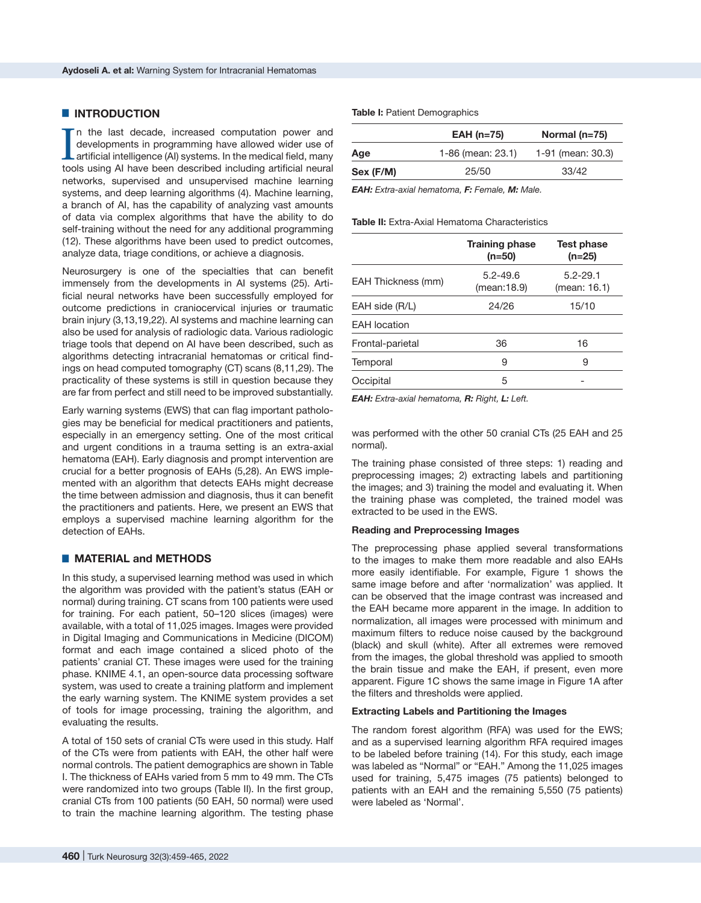## $\blacksquare$  **INTRODUCTION**

In the last decade, increased computation power and developments in programming have allowed wider use of artificial intelligence (AI) systems. In the medical field, many tools using AI have been described including artifi n the last decade, increased computation power and developments in programming have allowed wider use of artificial intelligence (AI) systems. In the medical field, many networks, supervised and unsupervised machine learning systems, and deep learning algorithms (4). Machine learning, a branch of AI, has the capability of analyzing vast amounts of data via complex algorithms that have the ability to do self-training without the need for any additional programming (12). These algorithms have been used to predict outcomes, analyze data, triage conditions, or achieve a diagnosis.

Neurosurgery is one of the specialties that can benefit immensely from the developments in AI systems (25). Artificial neural networks have been successfully employed for outcome predictions in craniocervical injuries or traumatic brain injury (3,13,19,22). AI systems and machine learning can also be used for analysis of radiologic data. Various radiologic triage tools that depend on AI have been described, such as algorithms detecting intracranial hematomas or critical findings on head computed tomography (CT) scans (8,11,29). The practicality of these systems is still in question because they are far from perfect and still need to be improved substantially.

Early warning systems (EWS) that can flag important pathologies may be beneficial for medical practitioners and patients, especially in an emergency setting. One of the most critical and urgent conditions in a trauma setting is an extra-axial hematoma (EAH). Early diagnosis and prompt intervention are crucial for a better prognosis of EAHs (5,28). An EWS implemented with an algorithm that detects EAHs might decrease the time between admission and diagnosis, thus it can benefit the practitioners and patients. Here, we present an EWS that employs a supervised machine learning algorithm for the detection of EAHs.

## █ **MATERIAL and METHODS**

In this study, a supervised learning method was used in which the algorithm was provided with the patient's status (EAH or normal) during training. CT scans from 100 patients were used for training. For each patient, 50–120 slices (images) were available, with a total of 11,025 images. Images were provided in Digital Imaging and Communications in Medicine (DICOM) format and each image contained a sliced photo of the patients' cranial CT. These images were used for the training phase. KNIME 4.1, an open-source data processing software system, was used to create a training platform and implement the early warning system. The KNIME system provides a set of tools for image processing, training the algorithm, and evaluating the results.

A total of 150 sets of cranial CTs were used in this study. Half of the CTs were from patients with EAH, the other half were normal controls. The patient demographics are shown in Table I. The thickness of EAHs varied from 5 mm to 49 mm. The CTs were randomized into two groups (Table II). In the first group, cranial CTs from 100 patients (50 EAH, 50 normal) were used to train the machine learning algorithm. The testing phase

### **Table I:** Patient Demographics

|           | $EAH$ (n=75)      | Normal $(n=75)$      |
|-----------|-------------------|----------------------|
| Age       | 1-86 (mean: 23.1) | 1-91 (mean: $30.3$ ) |
| Sex (F/M) | 25/50             | 33/42                |

*EAH: Extra-axial hematoma, F: Female, M: Male.*

#### **Table II:** Extra-Axial Hematoma Characteristics

|                     | <b>Training phase</b><br>$(n=50)$ | <b>Test phase</b><br>$(n=25)$ |
|---------------------|-----------------------------------|-------------------------------|
| EAH Thickness (mm)  | $5.2 - 49.6$<br>(mean:18.9)       | $5.2 - 29.1$<br>(mean: 16.1)  |
| EAH side (R/L)      | 24/26                             | 15/10                         |
| <b>EAH</b> location |                                   |                               |
| Frontal-parietal    | 36                                | 16                            |
| Temporal            | 9                                 | 9                             |
| Occipital           | 5                                 |                               |
|                     |                                   |                               |

*EAH: Extra-axial hematoma, R: Right, L: Left.*

was performed with the other 50 cranial CTs (25 EAH and 25 normal).

The training phase consisted of three steps: 1) reading and preprocessing images; 2) extracting labels and partitioning the images; and 3) training the model and evaluating it. When the training phase was completed, the trained model was extracted to be used in the EWS.

#### **Reading and Preprocessing Images**

The preprocessing phase applied several transformations to the images to make them more readable and also EAHs more easily identifiable. For example, Figure 1 shows the same image before and after 'normalization' was applied. It can be observed that the image contrast was increased and the EAH became more apparent in the image. In addition to normalization, all images were processed with minimum and maximum filters to reduce noise caused by the background (black) and skull (white). After all extremes were removed from the images, the global threshold was applied to smooth the brain tissue and make the EAH, if present, even more apparent. Figure 1C shows the same image in Figure 1A after the filters and thresholds were applied.

#### **Extracting Labels and Partitioning the Images**

The random forest algorithm (RFA) was used for the EWS; and as a supervised learning algorithm RFA required images to be labeled before training (14). For this study, each image was labeled as "Normal" or "EAH." Among the 11,025 images used for training, 5,475 images (75 patients) belonged to patients with an EAH and the remaining 5,550 (75 patients) were labeled as 'Normal'.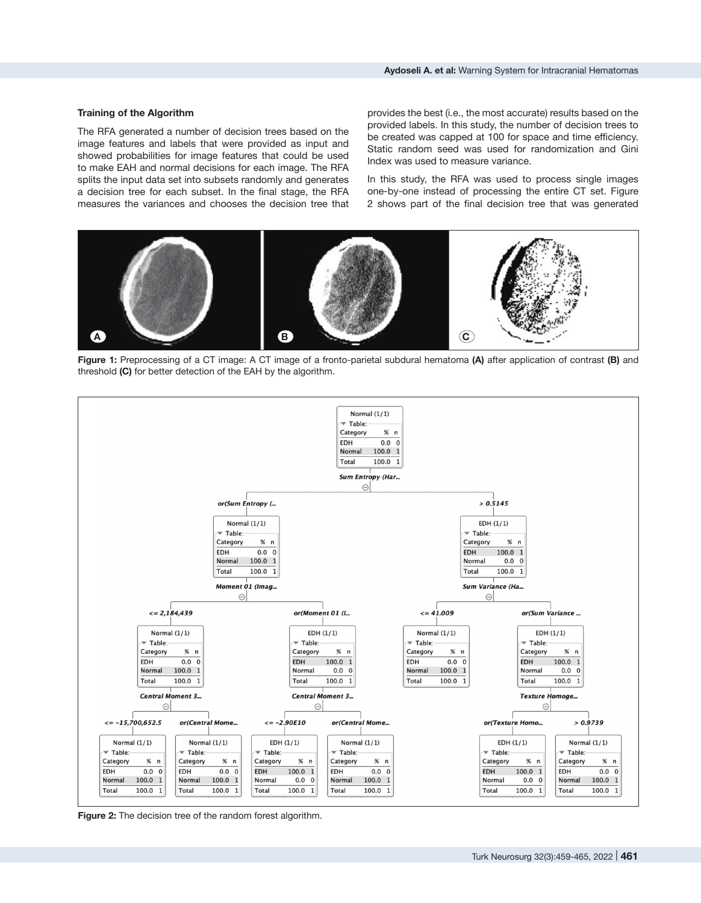### **Training of the Algorithm**

The RFA generated a number of decision trees based on the image features and labels that were provided as input and showed probabilities for image features that could be used to make EAH and normal decisions for each image. The RFA splits the input data set into subsets randomly and generates a decision tree for each subset. In the final stage, the RFA measures the variances and chooses the decision tree that provides the best (i.e., the most accurate) results based on the provided labels. In this study, the number of decision trees to be created was capped at 100 for space and time efficiency. Static random seed was used for randomization and Gini Index was used to measure variance.

In this study, the RFA was used to process single images one-by-one instead of processing the entire CT set. Figure 2 shows part of the final decision tree that was generated



**Figure 1:** Preprocessing of a CT image: A CT image of a fronto-parietal subdural hematoma **(A)** after application of contrast **(B)** and threshold **(C)** for better detection of the EAH by the algorithm.



**Figure 2:** The decision tree of the random forest algorithm.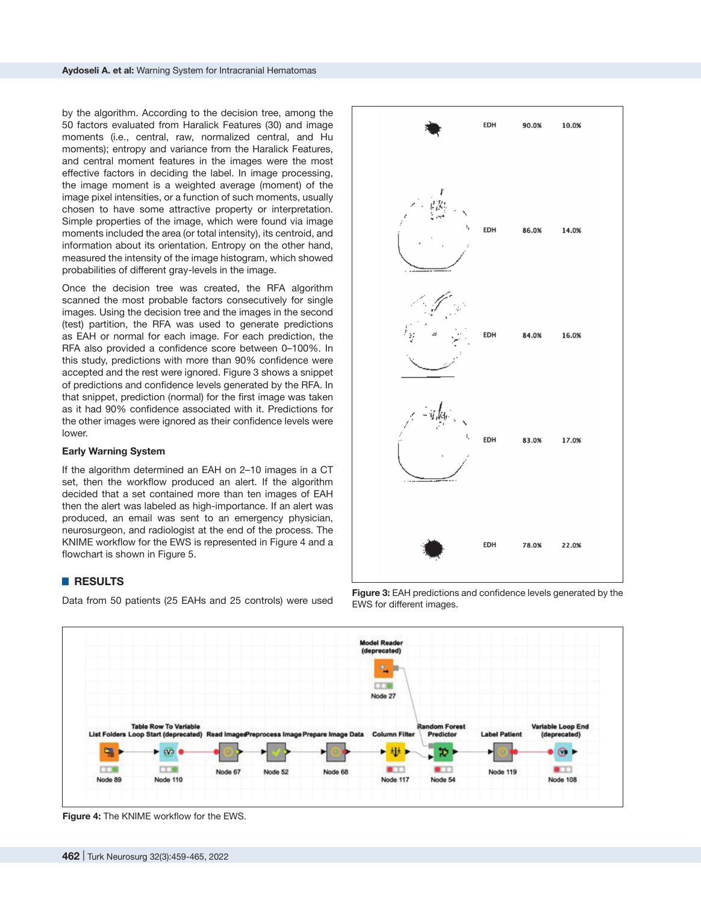by the algorithm. According to the decision tree, among the 50 factors evaluated from Haralick Features (30) and image moments (i.e., central, raw, normalized central, and Hu moments); entropy and variance from the Haralick Features, and central moment features in the images were the most effective factors in deciding the label. In image processing, the image moment is a weighted average (moment) of the image pixel intensities, or a function of such moments, usually chosen to have some attractive property or interpretation. Simple properties of the image, which were found via image moments included the area (or total intensity), its centroid, and information about its orientation. Entropy on the other hand, measured the intensity of the image histogram, which showed probabilities of different gray-levels in the image.

Once the decision tree was created, the RFA algorithm scanned the most probable factors consecutively for single images. Using the decision tree and the images in the second (test) partition, the RFA was used to generate predictions as EAH or normal for each image. For each prediction, the RFA also provided a confidence score between 0–100%. In this study, predictions with more than 90% confidence were accepted and the rest were ignored. Figure 3 shows a snippet of predictions and confidence levels generated by the RFA. In that snippet, prediction (normal) for the first image was taken as it had 90% confidence associated with it. Predictions for the other images were ignored as their confidence levels were lower.

## **Early Warning System**

If the algorithm determined an EAH on 2–10 images in a CT set, then the workflow produced an alert. If the algorithm decided that a set contained more than ten images of EAH then the alert was labeled as high-importance. If an alert was produced, an email was sent to an emergency physician, neurosurgeon, and radiologist at the end of the process. The KNIME workflow for the EWS is represented in Figure 4 and a flowchart is shown in Figure 5.

## █ **RESULTS**

Data from 50 patients (25 EAHs and 25 controls) were used



**Figure 3:** EAH predictions and confidence levels generated by the EWS for different images.



**Figure 4:** The KNIME workflow for the EWS.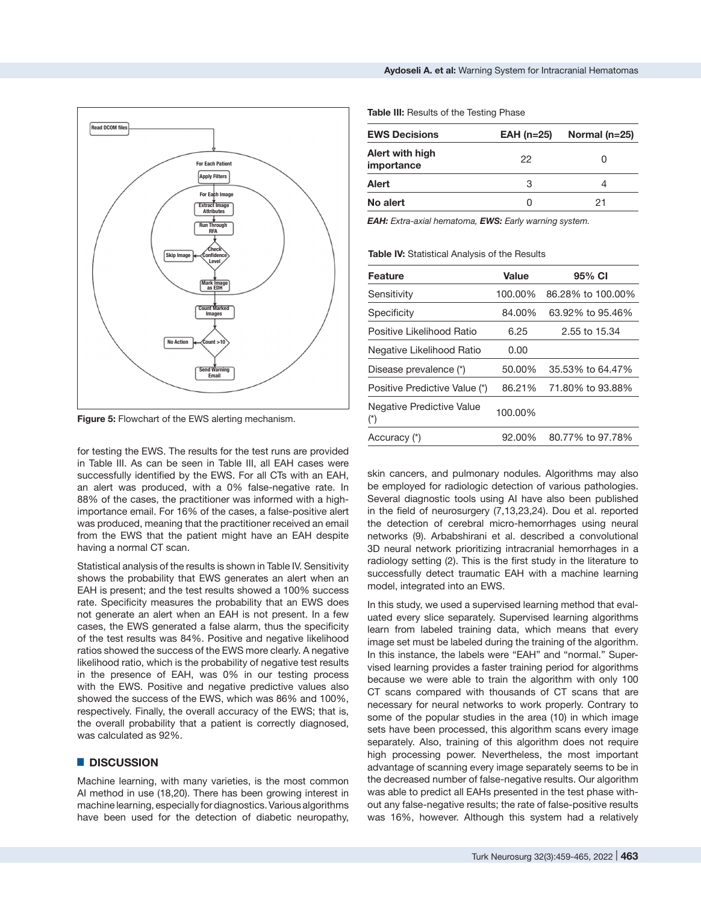

**Figure 5:** Flowchart of the EWS alerting mechanism.

for testing the EWS. The results for the test runs are provided in Table III. As can be seen in Table III, all EAH cases were successfully identified by the EWS. For all CTs with an EAH, an alert was produced, with a 0% false-negative rate. In 88% of the cases, the practitioner was informed with a highimportance email. For 16% of the cases, a false-positive alert was produced, meaning that the practitioner received an email from the EWS that the patient might have an EAH despite having a normal CT scan.

Statistical analysis of the results is shown in Table IV. Sensitivity shows the probability that EWS generates an alert when an EAH is present; and the test results showed a 100% success rate. Specificity measures the probability that an EWS does not generate an alert when an EAH is not present. In a few cases, the EWS generated a false alarm, thus the specificity of the test results was 84%. Positive and negative likelihood ratios showed the success of the EWS more clearly. A negative likelihood ratio, which is the probability of negative test results in the presence of EAH, was 0% in our testing process with the EWS. Positive and negative predictive values also showed the success of the EWS, which was 86% and 100%, respectively. Finally, the overall accuracy of the EWS; that is, the overall probability that a patient is correctly diagnosed, was calculated as 92%.

## █ **DISCUSSION**

Machine learning, with many varieties, is the most common AI method in use (18,20). There has been growing interest in machine learning, especially for diagnostics. Various algorithms have been used for the detection of diabetic neuropathy,

**Table III:** Results of the Testing Phase

| <b>EWS Decisions</b>          | $EAH$ (n=25) | Normal (n=25) |
|-------------------------------|--------------|---------------|
| Alert with high<br>importance | 22           | O             |
| Alert                         | З            | ⊿             |
| No alert                      |              | 21            |

*EAH: Extra-axial hematoma, EWS: Early warning system.*

**Table IV:** Statistical Analysis of the Results

| <b>Feature</b>                           | Value   | 95% CI            |
|------------------------------------------|---------|-------------------|
| Sensitivity                              | 100.00% | 86.28% to 100.00% |
| Specificity                              | 84.00%  | 63.92% to 95.46%  |
| Positive Likelihood Ratio                | 6.25    | 2.55 to 15.34     |
| Negative Likelihood Ratio                | 0.00    |                   |
| Disease prevalence (*)                   | 50.00%  | 35.53% to 64.47%  |
| Positive Predictive Value (*)            | 86.21%  | 71.80% to 93.88%  |
| Negative Predictive Value<br>$(\dot{r})$ | 100.00% |                   |
| Accuracy (*)                             | 92.00%  | 80.77% to 97.78%  |

skin cancers, and pulmonary nodules. Algorithms may also be employed for radiologic detection of various pathologies. Several diagnostic tools using AI have also been published in the field of neurosurgery (7,13,23,24). Dou et al. reported the detection of cerebral micro-hemorrhages using neural networks (9). Arbabshirani et al. described a convolutional 3D neural network prioritizing intracranial hemorrhages in a radiology setting (2). This is the first study in the literature to successfully detect traumatic EAH with a machine learning model, integrated into an EWS.

In this study, we used a supervised learning method that evaluated every slice separately. Supervised learning algorithms learn from labeled training data, which means that every image set must be labeled during the training of the algorithm. In this instance, the labels were "EAH" and "normal." Supervised learning provides a faster training period for algorithms because we were able to train the algorithm with only 100 CT scans compared with thousands of CT scans that are necessary for neural networks to work properly. Contrary to some of the popular studies in the area (10) in which image sets have been processed, this algorithm scans every image separately. Also, training of this algorithm does not require high processing power. Nevertheless, the most important advantage of scanning every image separately seems to be in the decreased number of false-negative results. Our algorithm was able to predict all EAHs presented in the test phase without any false-negative results; the rate of false-positive results was 16%, however. Although this system had a relatively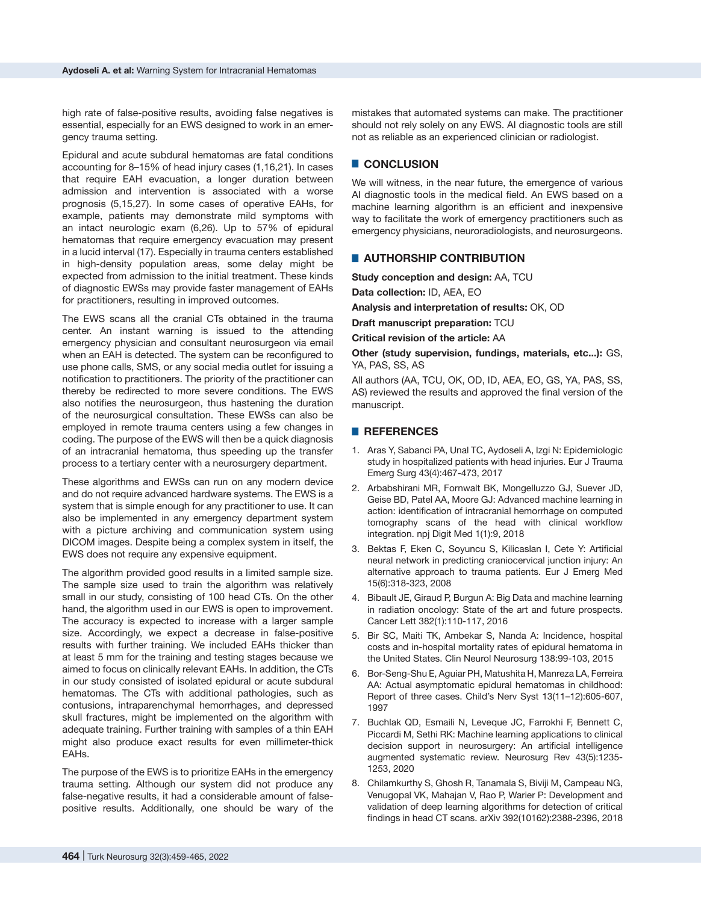high rate of false-positive results, avoiding false negatives is essential, especially for an EWS designed to work in an emergency trauma setting.

Epidural and acute subdural hematomas are fatal conditions accounting for 8–15% of head injury cases (1,16,21). In cases that require EAH evacuation, a longer duration between admission and intervention is associated with a worse prognosis (5,15,27). In some cases of operative EAHs, for example, patients may demonstrate mild symptoms with an intact neurologic exam (6,26). Up to 57% of epidural hematomas that require emergency evacuation may present in a lucid interval (17). Especially in trauma centers established in high-density population areas, some delay might be expected from admission to the initial treatment. These kinds of diagnostic EWSs may provide faster management of EAHs for practitioners, resulting in improved outcomes.

The EWS scans all the cranial CTs obtained in the trauma center. An instant warning is issued to the attending emergency physician and consultant neurosurgeon via email when an EAH is detected. The system can be reconfigured to use phone calls, SMS, or any social media outlet for issuing a notification to practitioners. The priority of the practitioner can thereby be redirected to more severe conditions. The EWS also notifies the neurosurgeon, thus hastening the duration of the neurosurgical consultation. These EWSs can also be employed in remote trauma centers using a few changes in coding. The purpose of the EWS will then be a quick diagnosis of an intracranial hematoma, thus speeding up the transfer process to a tertiary center with a neurosurgery department.

These algorithms and EWSs can run on any modern device and do not require advanced hardware systems. The EWS is a system that is simple enough for any practitioner to use. It can also be implemented in any emergency department system with a picture archiving and communication system using DICOM images. Despite being a complex system in itself, the EWS does not require any expensive equipment.

The algorithm provided good results in a limited sample size. The sample size used to train the algorithm was relatively small in our study, consisting of 100 head CTs. On the other hand, the algorithm used in our EWS is open to improvement. The accuracy is expected to increase with a larger sample size. Accordingly, we expect a decrease in false-positive results with further training. We included EAHs thicker than at least 5 mm for the training and testing stages because we aimed to focus on clinically relevant EAHs. In addition, the CTs in our study consisted of isolated epidural or acute subdural hematomas. The CTs with additional pathologies, such as contusions, intraparenchymal hemorrhages, and depressed skull fractures, might be implemented on the algorithm with adequate training. Further training with samples of a thin EAH might also produce exact results for even millimeter-thick EAHs.

The purpose of the EWS is to prioritize EAHs in the emergency trauma setting. Although our system did not produce any false-negative results, it had a considerable amount of falsepositive results. Additionally, one should be wary of the

mistakes that automated systems can make. The practitioner should not rely solely on any EWS. AI diagnostic tools are still not as reliable as an experienced clinician or radiologist.

# █ **CONCLUSION**

We will witness, in the near future, the emergence of various AI diagnostic tools in the medical field. An EWS based on a machine learning algorithm is an efficient and inexpensive way to facilitate the work of emergency practitioners such as emergency physicians, neuroradiologists, and neurosurgeons.

## █ **AUTHORSHIP CONTRIBUTION**

**Study conception and design:** AA, TCU

**Data collection:** ID, AEA, EO

**Analysis and interpretation of results:** OK, OD

**Draft manuscript preparation:** TCU

**Critical revision of the article:** AA

**Other (study supervision, fundings, materials, etc...):** GS, YA, PAS, SS, AS

All authors (AA, TCU, OK, OD, ID, AEA, EO, GS, YA, PAS, SS, AS) reviewed the results and approved the final version of the manuscript.

## █ **REFERENCES**

- 1. Aras Y, Sabanci PA, Unal TC, Aydoseli A, Izgi N: Epidemiologic study in hospitalized patients with head injuries. Eur J Trauma Emerg Surg 43(4):467-473, 2017
- 2. Arbabshirani MR, Fornwalt BK, Mongelluzzo GJ, Suever JD, Geise BD, Patel AA, Moore GJ: Advanced machine learning in action: identification of intracranial hemorrhage on computed tomography scans of the head with clinical workflow integration. npj Digit Med 1(1):9, 2018
- 3. Bektas F, Eken C, Soyuncu S, Kilicaslan I, Cete Y: Artificial neural network in predicting craniocervical junction injury: An alternative approach to trauma patients. Eur J Emerg Med 15(6):318-323, 2008
- 4. Bibault JE, Giraud P, Burgun A: Big Data and machine learning in radiation oncology: State of the art and future prospects. Cancer Lett 382(1):110-117, 2016
- 5. Bir SC, Maiti TK, Ambekar S, Nanda A: Incidence, hospital costs and in-hospital mortality rates of epidural hematoma in the United States. Clin Neurol Neurosurg 138:99-103, 2015
- 6. Bor-Seng-Shu E, Aguiar PH, Matushita H, Manreza LA, Ferreira AA: Actual asymptomatic epidural hematomas in childhood: Report of three cases. Child's Nerv Syst 13(11–12):605-607, 1997
- 7. Buchlak QD, Esmaili N, Leveque JC, Farrokhi F, Bennett C, Piccardi M, Sethi RK: Machine learning applications to clinical decision support in neurosurgery: An artificial intelligence augmented systematic review. Neurosurg Rev 43(5):1235- 1253, 2020
- 8. Chilamkurthy S, Ghosh R, Tanamala S, Biviji M, Campeau NG, Venugopal VK, Mahajan V, Rao P, Warier P: Development and validation of deep learning algorithms for detection of critical findings in head CT scans. arXiv 392(10162):2388-2396, 2018